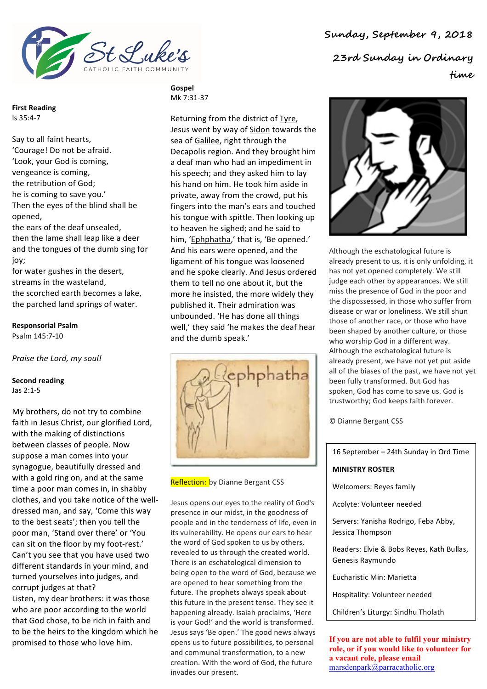

**Sunday, September 9, 2018 23rd Sunday in Ordinary time**

**First Reading** Is 35:4-7

Say to all faint hearts, 'Courage! Do not be afraid. 'Look, your God is coming, vengeance is coming, the retribution of God: he is coming to save you.' Then the eyes of the blind shall be opened, the ears of the deaf unsealed,

then the lame shall leap like a deer and the tongues of the dumb sing for joy; 

for water gushes in the desert, streams in the wasteland, the scorched earth becomes a lake, the parched land springs of water.

**Responsorial Psalm** Psalm 145:7-10

Praise the Lord, my soul!

#### **Second reading** Jas 2:1-5

My brothers, do not try to combine faith in Jesus Christ, our glorified Lord, with the making of distinctions between classes of people. Now suppose a man comes into your synagogue, beautifully dressed and with a gold ring on, and at the same time a poor man comes in, in shabby clothes, and you take notice of the welldressed man, and say, 'Come this way to the best seats'; then you tell the poor man, 'Stand over there' or 'You can sit on the floor by my foot-rest.' Can't you see that you have used two different standards in your mind, and turned yourselves into judges, and corrupt judges at that?

Listen, my dear brothers: it was those who are poor according to the world that God chose, to be rich in faith and to be the heirs to the kingdom which he promised to those who love him.

**Gospel** Mk 7:31-37

Returning from the district of Tyre, Jesus went by way of Sidon towards the sea of Galilee, right through the Decapolis region. And they brought him a deaf man who had an impediment in his speech; and they asked him to lay his hand on him. He took him aside in private, away from the crowd, put his fingers into the man's ears and touched his tongue with spittle. Then looking up to heaven he sighed; and he said to him, 'Ephphatha,' that is, 'Be opened.' And his ears were opened, and the ligament of his tongue was loosened and he spoke clearly. And Jesus ordered them to tell no one about it, but the more he insisted, the more widely they published it. Their admiration was unbounded. 'He has done all things well,' they said 'he makes the deaf hear and the dumb speak.'



**Reflection:** by Dianne Bergant CSS

Jesus opens our eyes to the reality of God's presence in our midst, in the goodness of people and in the tenderness of life, even in its vulnerability. He opens our ears to hear the word of God spoken to us by others, revealed to us through the created world. There is an eschatological dimension to being open to the word of God, because we are opened to hear something from the future. The prophets always speak about this future in the present tense. They see it happening already. Isaiah proclaims, 'Here is your God!' and the world is transformed. Jesus says 'Be open.' The good news always opens us to future possibilities, to personal and communal transformation, to a new creation. With the word of God, the future invades our present.



Although the eschatological future is already present to us, it is only unfolding, it has not yet opened completely. We still judge each other by appearances. We still miss the presence of God in the poor and the dispossessed, in those who suffer from disease or war or loneliness. We still shun those of another race, or those who have been shaped by another culture, or those who worship God in a different way. Although the eschatological future is already present, we have not yet put aside all of the biases of the past, we have not yet been fully transformed. But God has spoken, God has come to save us. God is trustworthy; God keeps faith forever.

© Dianne Bergant CSS

16 September - 24th Sunday in Ord Time

#### **MINISTRY ROSTER**

Welcomers: Reyes family

Acolyte: Volunteer needed

Servers: Yanisha Rodrigo, Feba Abby, Jessica Thompson

Readers: Elvie & Bobs Reyes, Kath Bullas, Genesis Raymundo

Eucharistic Min: Marietta

Hospitality: Volunteer needed

Children's Liturgy: Sindhu Tholath

**If you are not able to fulfil your ministry role, or if you would like to volunteer for a vacant role, please email**  marsdenpark@parracatholic.org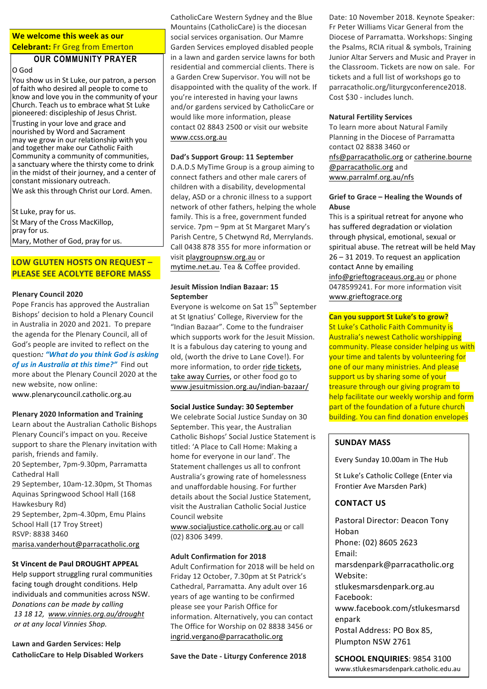# **We welcome this week as our Celebrant:** Fr Greg from Emerton

# **OUR COMMUNITY PRAYER**

# O God

You show us in St Luke, our patron, a person of faith who desired all people to come to know and love you in the community of your Church. Teach us to embrace what St Luke pioneered: discipleship of Jesus Christ.

Trusting in your love and grace and nourished by Word and Sacrament may we grow in our relationship with you and together make our Catholic Faith Community a community of communities, a sanctuary where the thirsty come to drink in the midst of their journey, and a center of constant missionary outreach.

We ask this through Christ our Lord. Amen.

St Luke, pray for us. St Mary of the Cross MacKillop, pray for us. Mary, Mother of God, pray for us.

# **LOW GLUTEN HOSTS ON REQUEST – PLEASE SEE ACOLYTE BEFORE MASS**

#### **Plenary Council 2020**

Pope Francis has approved the Australian Bishops' decision to hold a Plenary Council in Australia in 2020 and 2021. To prepare the agenda for the Plenary Council, all of God's people are invited to reflect on the question: "What do you think God is asking of us in Australia at this time?" Find out more about the Plenary Council 2020 at the new website, now online: www.plenarycouncil.catholic.org.au

**Plenary 2020 Information and Training** 

Learn about the Australian Catholic Bishops Plenary Council's impact on you. Receive support to share the Plenary invitation with parish, friends and family.

20 September, 7pm-9.30pm, Parramatta Cathedral Hall

29 September, 10am-12.30pm, St Thomas Aquinas Springwood School Hall (168 Hawkesbury Rd)

29 September, 2pm-4.30pm, Emu Plains School Hall (17 Troy Street) RSVP: 8838 3460 marisa.vanderhout@parracatholic.org

#### **St Vincent de Paul DROUGHT APPEAL**

Help support struggling rural communities facing tough drought conditions. Help individuals and communities across NSW. *Donations can be made by calling 13 18 12, www.vinnies.org.au/drought or at any local Vinnies Shop.*

Lawn and Garden Services: Help **CatholicCare to Help Disabled Workers** CatholicCare Western Sydney and the Blue Mountains (CatholicCare) is the diocesan social services organisation. Our Mamre Garden Services employed disabled people in a lawn and garden service lawns for both residential and commercial clients. There is a Garden Crew Supervisor. You will not be disappointed with the quality of the work. If you're interested in having your lawns and/or gardens serviced by CatholicCare or would like more information, please contact 02 8843 2500 or visit our website www.ccss.org.au

## **Dad's Support Group: 11 September**

D.A.D.S MyTime Group is a group aiming to connect fathers and other male carers of children with a disability, developmental delay, ASD or a chronic illness to a support network of other fathers, helping the whole family. This is a free, government funded service. 7pm - 9pm at St Margaret Mary's Parish Centre, 5 Chetwynd Rd, Merrylands. Call 0438 878 355 for more information or visit playgroupnsw.org.au or mytime.net.au. Tea & Coffee provided.

## **Jesuit Mission Indian Bazaar: 15 September**

Everyone is welcome on Sat 15<sup>th</sup> September at St Ignatius' College, Riverview for the "Indian Bazaar". Come to the fundraiser which supports work for the Jesuit Mission. It is a fabulous day catering to young and old, (worth the drive to Lane Cove!). For more information, to order ride tickets, take away Curries, or other food go to www.jesuitmission.org.au/indian-bazaar/

#### **Social Justice Sunday: 30 September**

We celebrate Social Justice Sunday on 30 September. This year, the Australian Catholic Bishops' Social Justice Statement is titled: 'A Place to Call Home: Making a home for everyone in our land'. The Statement challenges us all to confront Australia's growing rate of homelessness and unaffordable housing. For further details about the Social Justice Statement, visit the Australian Catholic Social Justice Council website 

www.socialjustice.catholic.org.au or call (02) 8306 3499.

# **Adult Confirmation for 2018**

Adult Confirmation for 2018 will be held on Friday 12 October, 7.30pm at St Patrick's Cathedral, Parramatta. Any adult over 16 years of age wanting to be confirmed please see your Parish Office for information. Alternatively, you can contact The Office for Worship on 02 8838 3456 or ingrid.vergano@parracatholic.org

Save the Date - Liturgy Conference 2018

Date: 10 November 2018. Keynote Speaker: Fr Peter Williams Vicar General from the Diocese of Parramatta. Workshops: Singing the Psalms, RCIA ritual & symbols, Training Junior Altar Servers and Music and Prayer in the Classroom. Tickets are now on sale. For tickets and a full list of workshops go to parracatholic.org/liturgyconference2018. Cost \$30 - includes lunch.

#### **Natural Fertility Services**

To learn more about Natural Family Planning in the Diocese of Parramatta contact 02 8838 3460 or nfs@parracatholic.org or catherine.bourne @parracatholic.org and www.parralmf.org.au/nfs

#### Grief to Grace – Healing the Wounds of **Abuse**

This is a spiritual retreat for anyone who has suffered degradation or violation through physical, emotional, sexual or spiritual abuse. The retreat will be held May  $26 - 31$  2019. To request an application contact Anne by emailing info@grieftograceaus.org.au or phone 0478599241. For more information visit www.grieftograce.org

**Can you support St Luke's to grow?** St Luke's Catholic Faith Community is Australia's newest Catholic worshipping community. Please consider helping us with your time and talents by volunteering for one of our many ministries. And please support us by sharing some of your treasure through our giving program to help facilitate our weekly worship and form part of the foundation of a future church building. You can find donation envelopes

# **SUNDAY MASS**

Every Sunday 10.00am in The Hub

St Luke's Catholic College (Enter via Frontier Ave Marsden Park)

# **CONTACT US**

Pastoral Director: Deacon Tony Hoban Phone: (02) 8605 2623 Email: marsdenpark@parracatholic.org Website: stlukesmarsdenpark.org.au Facebook: www.facebook.com/stlukesmarsd enpark Postal Address: PO Box 85, Plumpton NSW 2761

**SCHOOL ENQUIRIES: 9854 3100** www.stlukesmarsdenpark.catholic.edu.au